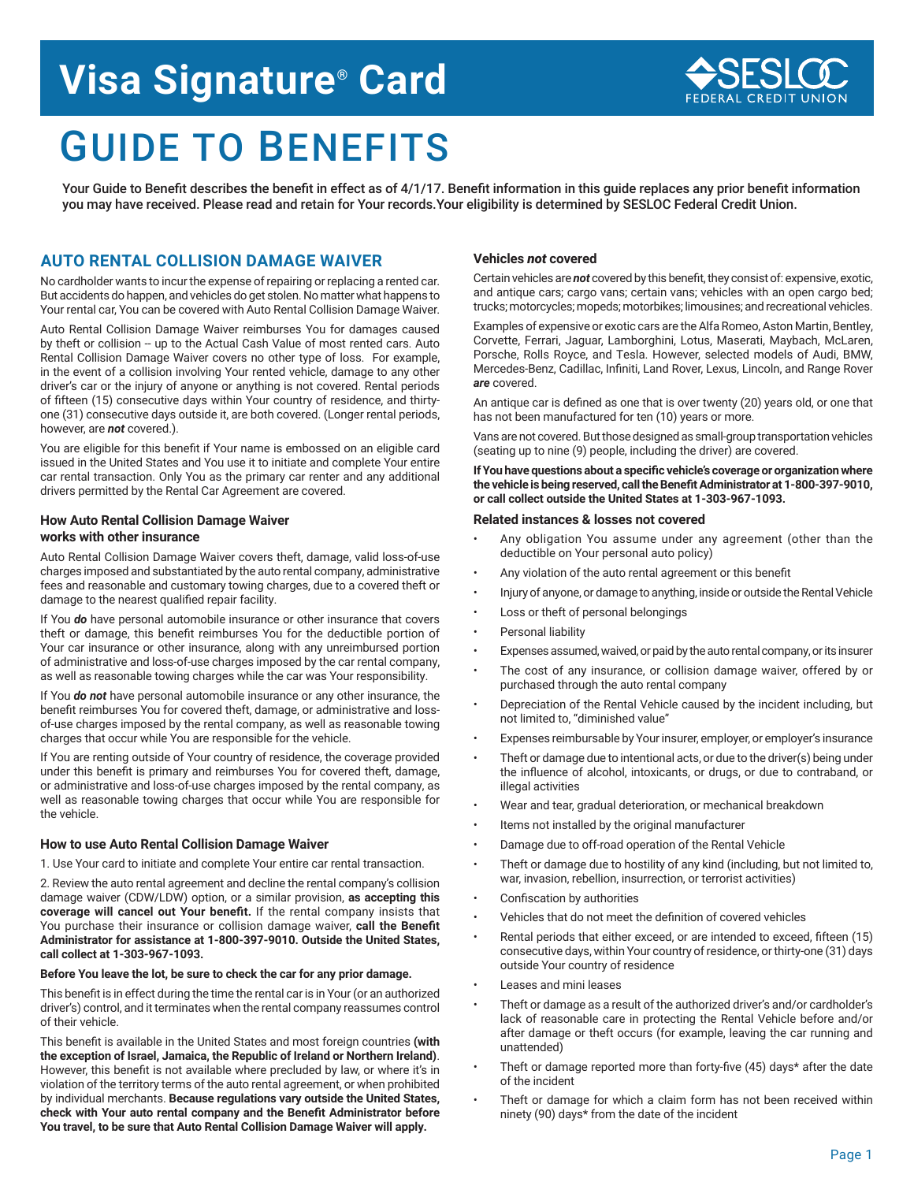# **Visa Signature® Card**

# GUIDE TO BENEFITS

Your Guide to Benefit describes the benefit in effect as of 4/1/17. Benefit information in this guide replaces any prior benefit information you may have received. Please read and retain for Your records.Your eligibility is determined by SESLOC Federal Credit Union.

# **AUTO RENTAL COLLISION DAMAGE WAIVER**

No cardholder wants to incur the expense of repairing or replacing a rented car. But accidents do happen, and vehicles do get stolen. No matter what happens to Your rental car, You can be covered with Auto Rental Collision Damage Waiver.

Auto Rental Collision Damage Waiver reimburses You for damages caused by theft or collision -- up to the Actual Cash Value of most rented cars. Auto Rental Collision Damage Waiver covers no other type of loss. For example, in the event of a collision involving Your rented vehicle, damage to any other driver's car or the injury of anyone or anything is not covered. Rental periods of fifteen (15) consecutive days within Your country of residence, and thirtyone (31) consecutive days outside it, are both covered. (Longer rental periods, however, are *not* covered.).

You are eligible for this benefit if Your name is embossed on an eligible card issued in the United States and You use it to initiate and complete Your entire car rental transaction. Only You as the primary car renter and any additional drivers permitted by the Rental Car Agreement are covered.

# **How Auto Rental Collision Damage Waiver works with other insurance**

Auto Rental Collision Damage Waiver covers theft, damage, valid loss-of-use charges imposed and substantiated by the auto rental company, administrative fees and reasonable and customary towing charges, due to a covered theft or damage to the nearest qualified repair facility.

If You *do* have personal automobile insurance or other insurance that covers theft or damage, this benefit reimburses You for the deductible portion of Your car insurance or other insurance, along with any unreimbursed portion of administrative and loss-of-use charges imposed by the car rental company, as well as reasonable towing charges while the car was Your responsibility.

If You *do not* have personal automobile insurance or any other insurance, the benefit reimburses You for covered theft, damage, or administrative and lossof-use charges imposed by the rental company, as well as reasonable towing charges that occur while You are responsible for the vehicle.

If You are renting outside of Your country of residence, the coverage provided under this benefit is primary and reimburses You for covered theft, damage, or administrative and loss-of-use charges imposed by the rental company, as well as reasonable towing charges that occur while You are responsible for the vehicle.

## **How to use Auto Rental Collision Damage Waiver**

1. Use Your card to initiate and complete Your entire car rental transaction.

2. Review the auto rental agreement and decline the rental company's collision damage waiver (CDW/LDW) option, or a similar provision, **as accepting this coverage will cancel out Your benefit.** If the rental company insists that You purchase their insurance or collision damage waiver, **call the Benefit Administrator for assistance at 1-800-397-9010. Outside the United States, call collect at 1-303-967-1093.**

## **Before You leave the lot, be sure to check the car for any prior damage.**

This benefit is in effect during the time the rental car is in Your (or an authorized driver's) control, and it terminates when the rental company reassumes control of their vehicle.

This benefit is available in the United States and most foreign countries **(with the exception of Israel, Jamaica, the Republic of Ireland or Northern Ireland)**. However, this benefit is not available where precluded by law, or where it's in violation of the territory terms of the auto rental agreement, or when prohibited by individual merchants. **Because regulations vary outside the United States, check with Your auto rental company and the Benefit Administrator before You travel, to be sure that Auto Rental Collision Damage Waiver will apply.**

# **Vehicles** *not* **covered**

Certain vehicles are *not* covered by this benefit, they consist of: expensive, exotic, and antique cars; cargo vans; certain vans; vehicles with an open cargo bed; trucks; motorcycles; mopeds; motorbikes; limousines; and recreational vehicles.

Examples of expensive or exotic cars are the Alfa Romeo, Aston Martin, Bentley, Corvette, Ferrari, Jaguar, Lamborghini, Lotus, Maserati, Maybach, McLaren, Porsche, Rolls Royce, and Tesla. However, selected models of Audi, BMW, Mercedes-Benz, Cadillac, Infiniti, Land Rover, Lexus, Lincoln, and Range Rover *are* covered.

An antique car is defined as one that is over twenty (20) years old, or one that has not been manufactured for ten (10) years or more.

Vans are not covered. But those designed as small-group transportation vehicles (seating up to nine (9) people, including the driver) are covered.

**If You have questions about a specific vehicle's coverage or organization where the vehicle is being reserved, call the Benefit Administrator at 1-800-397-9010, or call collect outside the United States at 1-303-967-1093.** 

## **Related instances & losses not covered**

- Any obligation You assume under any agreement (other than the deductible on Your personal auto policy)
- Any violation of the auto rental agreement or this benefit
- Injury of anyone, or damage to anything, inside or outside the Rental Vehicle
- Loss or theft of personal belongings
- Personal liability
- Expenses assumed, waived, or paid by the auto rental company, or its insurer
- The cost of any insurance, or collision damage waiver, offered by or purchased through the auto rental company
- Depreciation of the Rental Vehicle caused by the incident including, but not limited to, "diminished value"
- Expenses reimbursable by Your insurer, employer, or employer's insurance
- Theft or damage due to intentional acts, or due to the driver(s) being under the influence of alcohol, intoxicants, or drugs, or due to contraband, or illegal activities
- Wear and tear, gradual deterioration, or mechanical breakdown
- Items not installed by the original manufacturer
- Damage due to off-road operation of the Rental Vehicle
- Theft or damage due to hostility of any kind (including, but not limited to, war, invasion, rebellion, insurrection, or terrorist activities)
- Confiscation by authorities
- Vehicles that do not meet the definition of covered vehicles
- Rental periods that either exceed, or are intended to exceed, fifteen (15) consecutive days, within Your country of residence, or thirty-one (31) days outside Your country of residence
- Leases and mini leases
- Theft or damage as a result of the authorized driver's and/or cardholder's lack of reasonable care in protecting the Rental Vehicle before and/or after damage or theft occurs (for example, leaving the car running and unattended)
- Theft or damage reported more than forty-five (45) days\* after the date of the incident
- Theft or damage for which a claim form has not been received within ninety (90) days\* from the date of the incident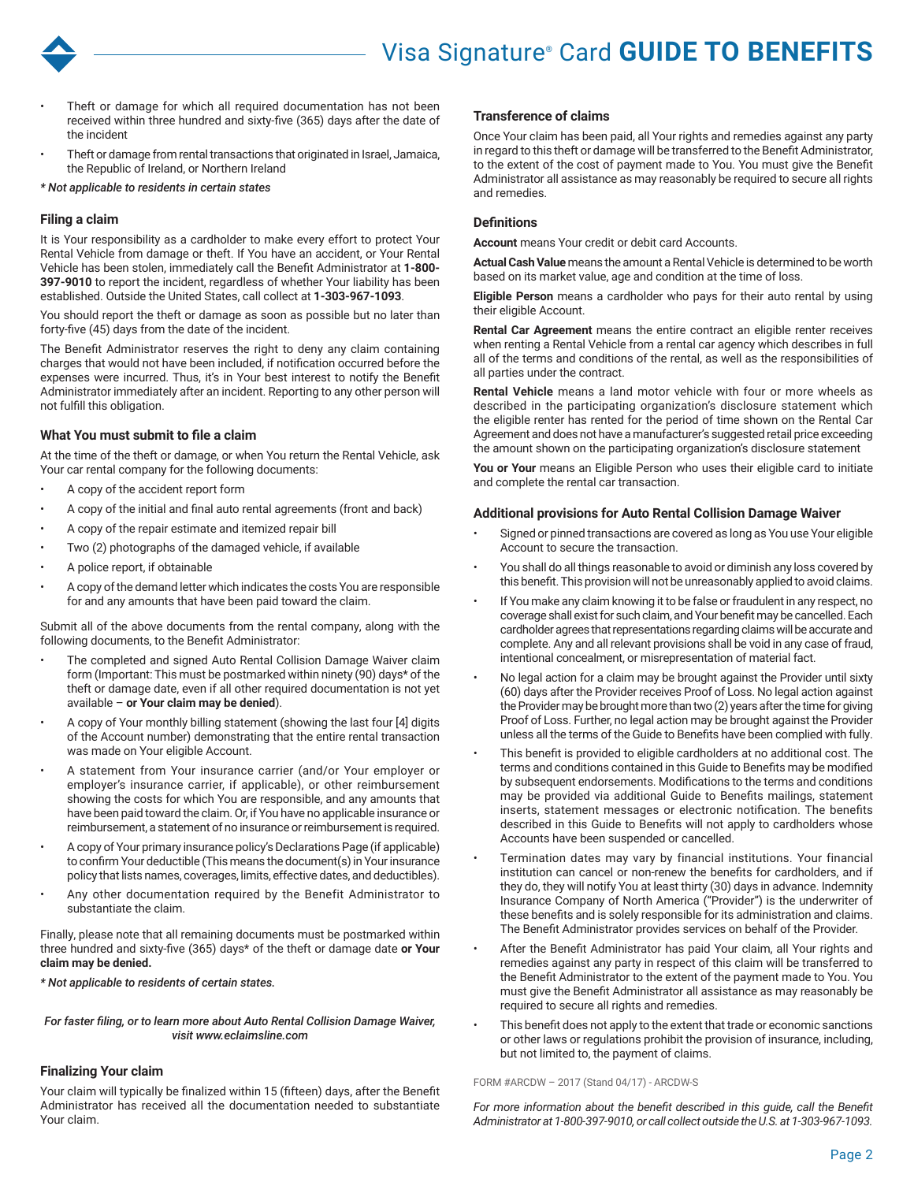

- Theft or damage for which all required documentation has not been received within three hundred and sixty-five (365) days after the date of the incident
- Theft or damage from rental transactions that originated in Israel, Jamaica, the Republic of Ireland, or Northern Ireland

*\* Not applicable to residents in certain states*

## **Filing a claim**

It is Your responsibility as a cardholder to make every effort to protect Your Rental Vehicle from damage or theft. If You have an accident, or Your Rental Vehicle has been stolen, immediately call the Benefit Administrator at **1-800- 397-9010** to report the incident, regardless of whether Your liability has been established. Outside the United States, call collect at **1-303-967-1093**.

You should report the theft or damage as soon as possible but no later than forty-five (45) days from the date of the incident.

The Benefit Administrator reserves the right to deny any claim containing charges that would not have been included, if notification occurred before the expenses were incurred. Thus, it's in Your best interest to notify the Benefit Administrator immediately after an incident. Reporting to any other person will not fulfill this obligation.

# **What You must submit to file a claim**

At the time of the theft or damage, or when You return the Rental Vehicle, ask Your car rental company for the following documents:

- A copy of the accident report form
- A copy of the initial and final auto rental agreements (front and back)
- A copy of the repair estimate and itemized repair bill
- Two (2) photographs of the damaged vehicle, if available
- A police report, if obtainable
- A copy of the demand letter which indicates the costs You are responsible for and any amounts that have been paid toward the claim.

Submit all of the above documents from the rental company, along with the following documents, to the Benefit Administrator:

- The completed and signed Auto Rental Collision Damage Waiver claim form (Important: This must be postmarked within ninety (90) days\* of the theft or damage date, even if all other required documentation is not yet available – **or Your claim may be denied**).
- A copy of Your monthly billing statement (showing the last four [4] digits of the Account number) demonstrating that the entire rental transaction was made on Your eligible Account.
- A statement from Your insurance carrier (and/or Your employer or employer's insurance carrier, if applicable), or other reimbursement showing the costs for which You are responsible, and any amounts that have been paid toward the claim. Or, if You have no applicable insurance or reimbursement, a statement of no insurance or reimbursement is required.
- A copy of Your primary insurance policy's Declarations Page (if applicable) to confirm Your deductible (This means the document(s) in Your insurance policy that lists names, coverages, limits, effective dates, and deductibles).
- Any other documentation required by the Benefit Administrator to substantiate the claim.

Finally, please note that all remaining documents must be postmarked within three hundred and sixty-five (365) days\* of the theft or damage date **or Your claim may be denied.** 

## *\* Not applicable to residents of certain states.*

*For faster filing, or to learn more about Auto Rental Collision Damage Waiver, visit www.eclaimsline.com*

# **Finalizing Your claim**

Your claim will typically be finalized within 15 (fifteen) days, after the Benefit Administrator has received all the documentation needed to substantiate Your claim.

## **Transference of claims**

Once Your claim has been paid, all Your rights and remedies against any party in regard to this theft or damage will be transferred to the Benefit Administrator, to the extent of the cost of payment made to You. You must give the Benefit Administrator all assistance as may reasonably be required to secure all rights and remedies.

# **Definitions**

**Account** means Your credit or debit card Accounts.

**Actual Cash Value** means the amount a Rental Vehicle is determined to be worth based on its market value, age and condition at the time of loss.

**Eligible Person** means a cardholder who pays for their auto rental by using their eligible Account.

**Rental Car Agreement** means the entire contract an eligible renter receives when renting a Rental Vehicle from a rental car agency which describes in full all of the terms and conditions of the rental, as well as the responsibilities of all parties under the contract.

**Rental Vehicle** means a land motor vehicle with four or more wheels as described in the participating organization's disclosure statement which the eligible renter has rented for the period of time shown on the Rental Car Agreement and does not have a manufacturer's suggested retail price exceeding the amount shown on the participating organization's disclosure statement

**You or Your** means an Eligible Person who uses their eligible card to initiate and complete the rental car transaction.

## **Additional provisions for Auto Rental Collision Damage Waiver**

- Signed or pinned transactions are covered as long as You use Your eligible Account to secure the transaction.
- You shall do all things reasonable to avoid or diminish any loss covered by this benefit. This provision will not be unreasonably applied to avoid claims.
- If You make any claim knowing it to be false or fraudulent in any respect, no coverage shall exist for such claim, and Your benefit may be cancelled. Each cardholder agrees that representations regarding claims will be accurate and complete. Any and all relevant provisions shall be void in any case of fraud, intentional concealment, or misrepresentation of material fact.
- No legal action for a claim may be brought against the Provider until sixty (60) days after the Provider receives Proof of Loss. No legal action against the Provider may be brought more than two (2) years after the time for giving Proof of Loss. Further, no legal action may be brought against the Provider unless all the terms of the Guide to Benefits have been complied with fully.
- This benefit is provided to eligible cardholders at no additional cost. The terms and conditions contained in this Guide to Benefits may be modified by subsequent endorsements. Modifications to the terms and conditions may be provided via additional Guide to Benefits mailings, statement inserts, statement messages or electronic notification. The benefits described in this Guide to Benefits will not apply to cardholders whose Accounts have been suspended or cancelled.
- Termination dates may vary by financial institutions. Your financial institution can cancel or non-renew the benefits for cardholders, and if they do, they will notify You at least thirty (30) days in advance. Indemnity Insurance Company of North America ("Provider") is the underwriter of these benefits and is solely responsible for its administration and claims. The Benefit Administrator provides services on behalf of the Provider.
- After the Benefit Administrator has paid Your claim, all Your rights and remedies against any party in respect of this claim will be transferred to the Benefit Administrator to the extent of the payment made to You. You must give the Benefit Administrator all assistance as may reasonably be required to secure all rights and remedies.
- This benefit does not apply to the extent that trade or economic sanctions or other laws or regulations prohibit the provision of insurance, including, but not limited to, the payment of claims.

#### FORM #ARCDW – 2017 (Stand 04/17) - ARCDW-S

*For more information about the benefit described in this guide, call the Benefit Administrator at 1-800-397-9010, or call collect outside the U.S. at 1-303-967-1093.*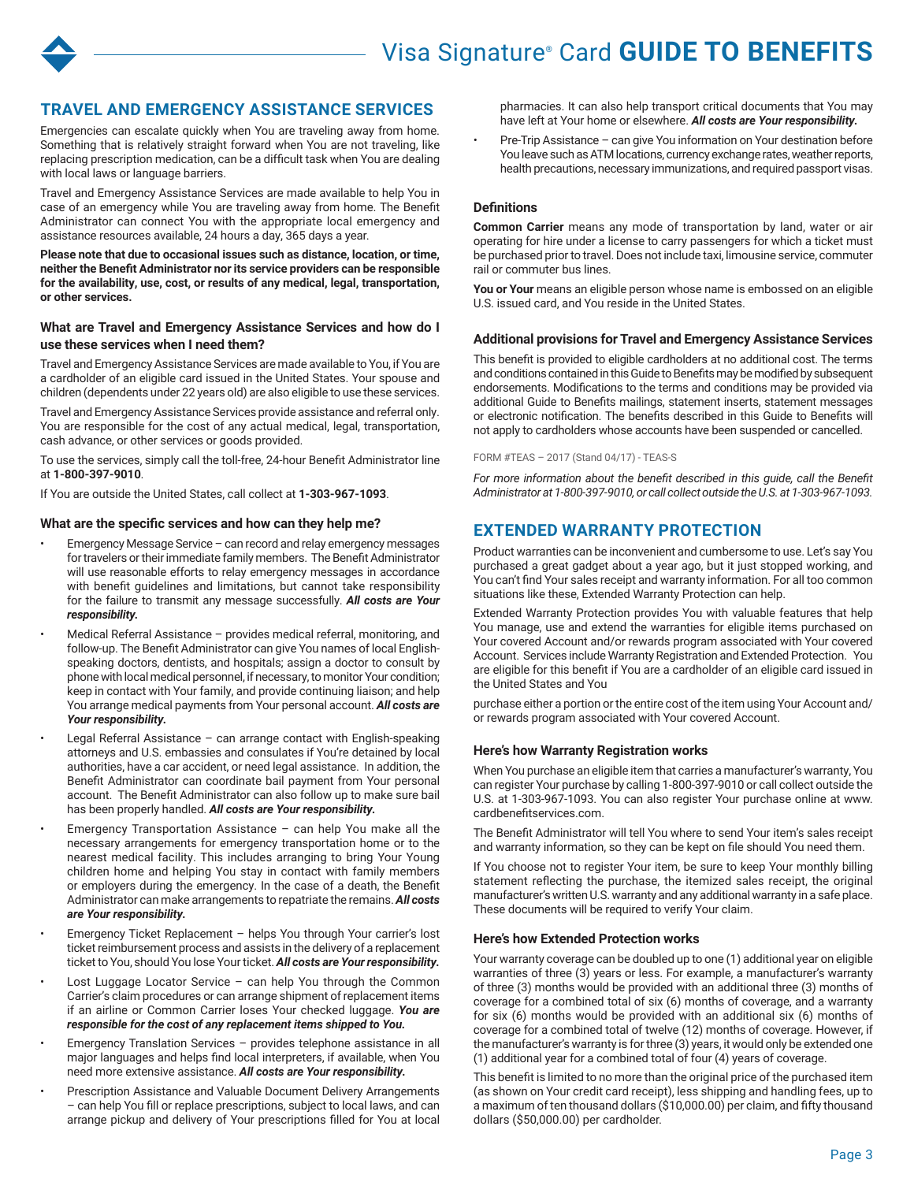

# **TRAVEL AND EMERGENCY ASSISTANCE SERVICES**

Emergencies can escalate quickly when You are traveling away from home. Something that is relatively straight forward when You are not traveling, like replacing prescription medication, can be a difficult task when You are dealing with local laws or language barriers.

Travel and Emergency Assistance Services are made available to help You in case of an emergency while You are traveling away from home. The Benefit Administrator can connect You with the appropriate local emergency and assistance resources available, 24 hours a day, 365 days a year.

**Please note that due to occasional issues such as distance, location, or time, neither the Benefit Administrator nor its service providers can be responsible for the availability, use, cost, or results of any medical, legal, transportation, or other services.** 

## **What are Travel and Emergency Assistance Services and how do I use these services when I need them?**

Travel and Emergency Assistance Services are made available to You, if You are a cardholder of an eligible card issued in the United States. Your spouse and children (dependents under 22 years old) are also eligible to use these services.

Travel and Emergency Assistance Services provide assistance and referral only. You are responsible for the cost of any actual medical, legal, transportation, cash advance, or other services or goods provided.

To use the services, simply call the toll-free, 24-hour Benefit Administrator line at **1-800-397-9010**.

If You are outside the United States, call collect at **1-303-967-1093**.

## **What are the specific services and how can they help me?**

- Emergency Message Service can record and relay emergency messages for travelers or their immediate family members. The Benefit Administrator will use reasonable efforts to relay emergency messages in accordance with benefit guidelines and limitations, but cannot take responsibility for the failure to transmit any message successfully. *All costs are Your responsibility.*
- Medical Referral Assistance provides medical referral, monitoring, and follow-up. The Benefit Administrator can give You names of local Englishspeaking doctors, dentists, and hospitals; assign a doctor to consult by phone with local medical personnel, if necessary, to monitor Your condition; keep in contact with Your family, and provide continuing liaison; and help You arrange medical payments from Your personal account. *All costs are Your responsibility.*
- Legal Referral Assistance can arrange contact with English-speaking attorneys and U.S. embassies and consulates if You're detained by local authorities, have a car accident, or need legal assistance. In addition, the Benefit Administrator can coordinate bail payment from Your personal account. The Benefit Administrator can also follow up to make sure bail has been properly handled. *All costs are Your responsibility.*
- Emergency Transportation Assistance can help You make all the necessary arrangements for emergency transportation home or to the nearest medical facility. This includes arranging to bring Your Young children home and helping You stay in contact with family members or employers during the emergency. In the case of a death, the Benefit Administrator can make arrangements to repatriate the remains. *All costs are Your responsibility.*
- Emergency Ticket Replacement helps You through Your carrier's lost ticket reimbursement process and assists in the delivery of a replacement ticket to You, should You lose Your ticket. *All costs are Your responsibility.*
- Lost Luggage Locator Service can help You through the Common Carrier's claim procedures or can arrange shipment of replacement items if an airline or Common Carrier loses Your checked luggage. *You are responsible for the cost of any replacement items shipped to You.*
- Emergency Translation Services provides telephone assistance in all major languages and helps find local interpreters, if available, when You need more extensive assistance. *All costs are Your responsibility.*
- Prescription Assistance and Valuable Document Delivery Arrangements – can help You fill or replace prescriptions, subject to local laws, and can arrange pickup and delivery of Your prescriptions filled for You at local

pharmacies. It can also help transport critical documents that You may have left at Your home or elsewhere. *All costs are Your responsibility.*

• Pre-Trip Assistance – can give You information on Your destination before You leave such as ATM locations, currency exchange rates, weather reports, health precautions, necessary immunizations, and required passport visas.

# **Definitions**

**Common Carrier** means any mode of transportation by land, water or air operating for hire under a license to carry passengers for which a ticket must be purchased prior to travel. Does not include taxi, limousine service, commuter rail or commuter bus lines.

You or Your means an eligible person whose name is embossed on an eligible U.S. issued card, and You reside in the United States.

## **Additional provisions for Travel and Emergency Assistance Services**

This benefit is provided to eligible cardholders at no additional cost. The terms and conditions contained in this Guide to Benefits may be modified by subsequent endorsements. Modifications to the terms and conditions may be provided via additional Guide to Benefits mailings, statement inserts, statement messages or electronic notification. The benefits described in this Guide to Benefits will not apply to cardholders whose accounts have been suspended or cancelled.

#### FORM #TEAS – 2017 (Stand 04/17) - TEAS-S

*For more information about the benefit described in this guide, call the Benefit Administrator at 1-800-397-9010, or call collect outside the U.S. at 1-303-967-1093.* 

# **EXTENDED WARRANTY PROTECTION**

Product warranties can be inconvenient and cumbersome to use. Let's say You purchased a great gadget about a year ago, but it just stopped working, and You can't find Your sales receipt and warranty information. For all too common situations like these, Extended Warranty Protection can help.

Extended Warranty Protection provides You with valuable features that help You manage, use and extend the warranties for eligible items purchased on Your covered Account and/or rewards program associated with Your covered Account. Services include Warranty Registration and Extended Protection. You are eligible for this benefit if You are a cardholder of an eligible card issued in the United States and You

purchase either a portion or the entire cost of the item using Your Account and/ or rewards program associated with Your covered Account.

## **Here's how Warranty Registration works**

When You purchase an eligible item that carries a manufacturer's warranty, You can register Your purchase by calling 1-800-397-9010 or call collect outside the U.S. at 1-303-967-1093. You can also register Your purchase online at www. cardbenefitservices.com.

The Benefit Administrator will tell You where to send Your item's sales receipt and warranty information, so they can be kept on file should You need them.

If You choose not to register Your item, be sure to keep Your monthly billing statement reflecting the purchase, the itemized sales receipt, the original manufacturer's written U.S. warranty and any additional warranty in a safe place. These documents will be required to verify Your claim.

## **Here's how Extended Protection works**

Your warranty coverage can be doubled up to one (1) additional year on eligible warranties of three (3) years or less. For example, a manufacturer's warranty of three (3) months would be provided with an additional three (3) months of coverage for a combined total of six (6) months of coverage, and a warranty for six (6) months would be provided with an additional six (6) months of coverage for a combined total of twelve (12) months of coverage. However, if the manufacturer's warranty is for three (3) years, it would only be extended one (1) additional year for a combined total of four (4) years of coverage.

This benefit is limited to no more than the original price of the purchased item (as shown on Your credit card receipt), less shipping and handling fees, up to a maximum of ten thousand dollars (\$10,000.00) per claim, and fifty thousand dollars (\$50,000.00) per cardholder.